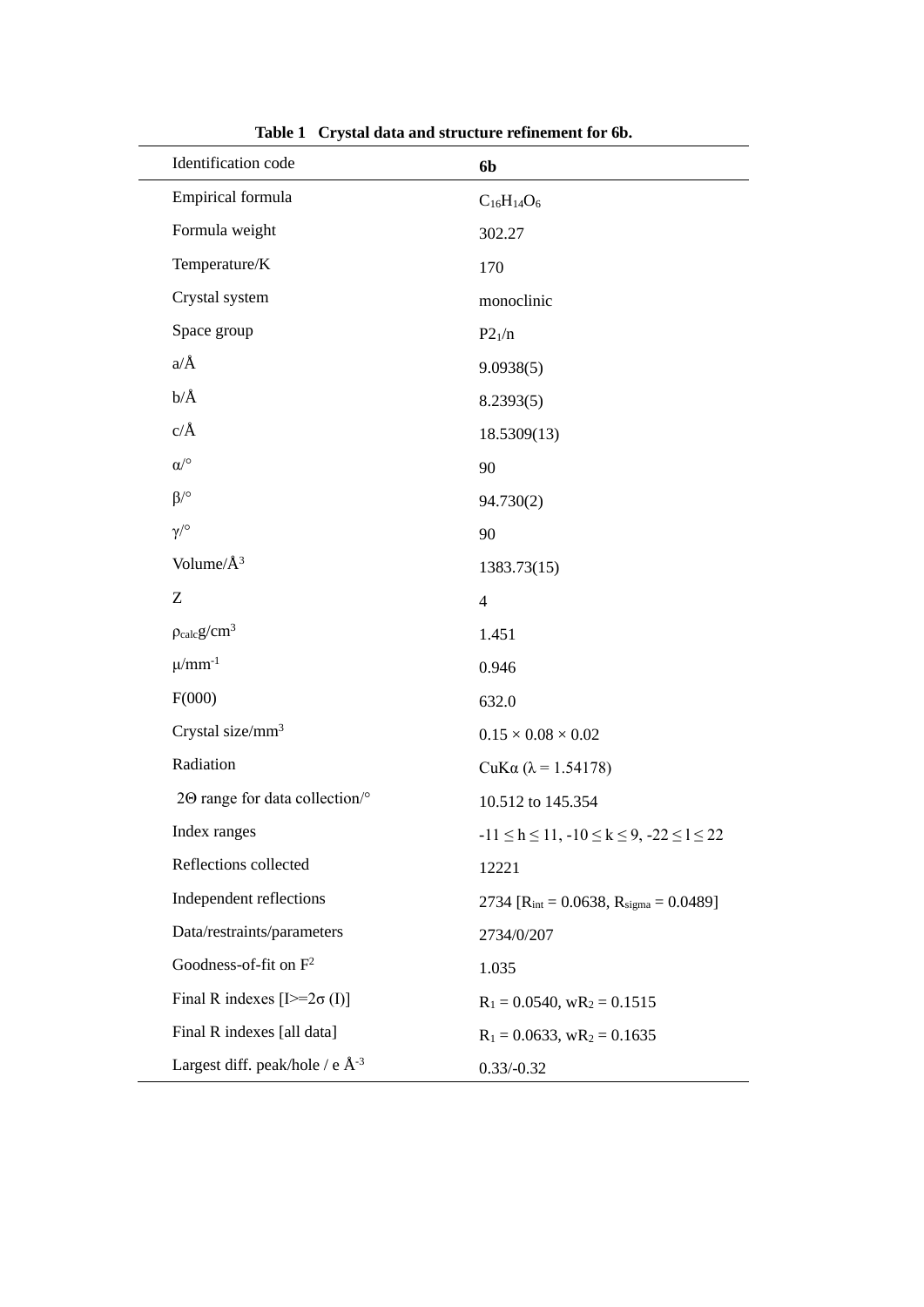| Identification code                    | 6 <sub>b</sub>                                        |
|----------------------------------------|-------------------------------------------------------|
| Empirical formula                      | $C_{16}H_{14}O_6$                                     |
| Formula weight                         | 302.27                                                |
| Temperature/K                          | 170                                                   |
| Crystal system                         | monoclinic                                            |
| Space group                            | P2 <sub>1</sub> /n                                    |
| $a/\text{\AA}$                         | 9.0938(5)                                             |
| $b/\text{\AA}$                         | 8.2393(5)                                             |
| $c/\text{\AA}$                         | 18.5309(13)                                           |
| $\alpha$ /°                            | 90                                                    |
| $\beta$ / $\circ$                      | 94.730(2)                                             |
| $\gamma$ <sup>o</sup>                  | 90                                                    |
| Volume/Å <sup>3</sup>                  | 1383.73(15)                                           |
| Z                                      | $\overline{4}$                                        |
| $\rho_{calc}g/cm^3$                    | 1.451                                                 |
| $\mu$ /mm <sup>-1</sup>                | 0.946                                                 |
| F(000)                                 | 632.0                                                 |
| Crystal size/mm <sup>3</sup>           | $0.15\times0.08\times0.02$                            |
| Radiation                              | CuKa ( $\lambda$ = 1.54178)                           |
| 20 range for data collection/°         | 10.512 to 145.354                                     |
| Index ranges                           | $-11 \le h \le 11, -10 \le k \le 9, -22 \le l \le 22$ |
| Reflections collected                  | 12221                                                 |
| Independent reflections                | 2734 [ $R_{int} = 0.0638$ , $R_{sigma} = 0.0489$ ]    |
| Data/restraints/parameters             | 2734/0/207                                            |
| Goodness-of-fit on $F^2$               | 1.035                                                 |
| Final R indexes $[I>=2\sigma(I)]$      | $R_1 = 0.0540$ , $wR_2 = 0.1515$                      |
| Final R indexes [all data]             | $R_1 = 0.0633$ , w $R_2 = 0.1635$                     |
| Largest diff. peak/hole / e $\AA^{-3}$ | $0.33/-0.32$                                          |

**Table 1 Crystal data and structure refinement for 6b.**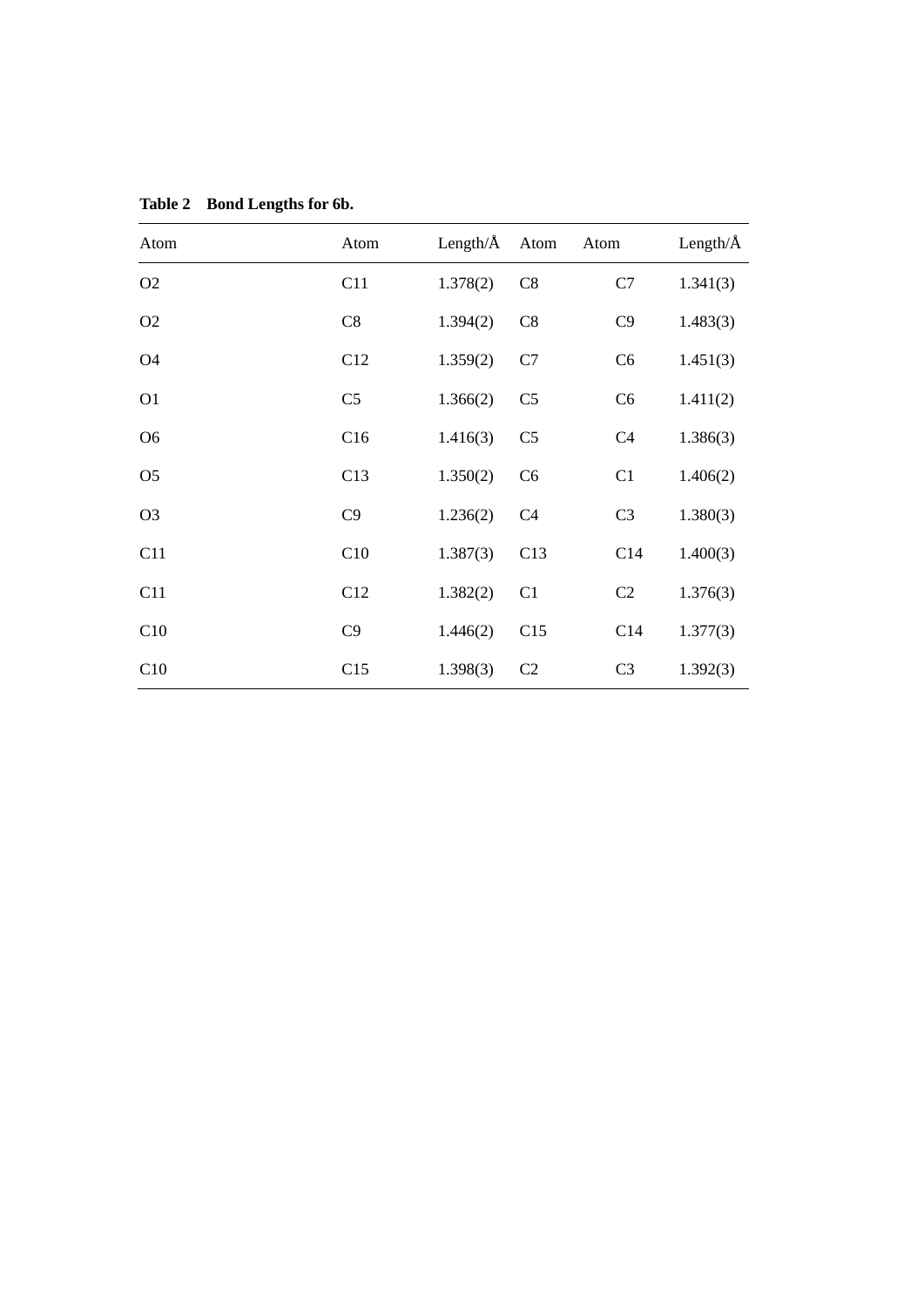| Atom           | Atom           | Length/ $\AA$ | Atom           | Atom           | Length/ $\AA$ |
|----------------|----------------|---------------|----------------|----------------|---------------|
| O2             | C11            | 1.378(2)      | C8             | C7             | 1.341(3)      |
| O2             | C8             | 1.394(2)      | C8             | C9             | 1.483(3)      |
| <b>O4</b>      | C12            | 1.359(2)      | C7             | C <sub>6</sub> | 1.451(3)      |
| O <sub>1</sub> | C <sub>5</sub> | 1.366(2)      | C <sub>5</sub> | C <sub>6</sub> | 1.411(2)      |
| O <sub>6</sub> | C16            | 1.416(3)      | C <sub>5</sub> | C <sub>4</sub> | 1.386(3)      |
| O <sub>5</sub> | C13            | 1.350(2)      | C <sub>6</sub> | C1             | 1.406(2)      |
| O <sub>3</sub> | C9             | 1.236(2)      | C <sub>4</sub> | C <sub>3</sub> | 1.380(3)      |
| C11            | C10            | 1.387(3)      | C13            | C14            | 1.400(3)      |
| C11            | C12            | 1.382(2)      | C1             | C <sub>2</sub> | 1.376(3)      |
| C10            | C9             | 1.446(2)      | C15            | C14            | 1.377(3)      |
| C10            | C15            | 1.398(3)      | C <sub>2</sub> | C <sub>3</sub> | 1.392(3)      |

**Table 2 Bond Lengths for 6b.**